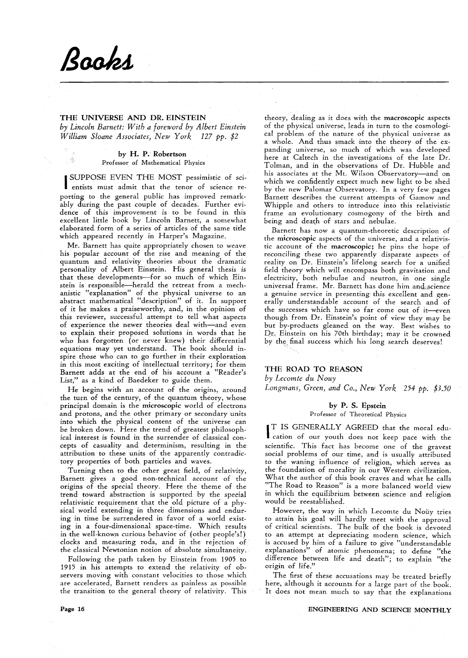# Books

그렸

## THE UNIVERSE AND DR. EINSTEIN

*by Lincoln Barnett: With a foreword by Albert Einstein William Sloane Associates, New York* 127 *pp.* \$2

#### by H. P. Robertson Professor of Mathematical Physics

SCl- I SUPPOSE EVEN THE MOST pessimistic of entists must admit that the tenor of science reporting to the general public has improved remarkably during the past couple of decades. Further evidence of this improvement is to be found in this excellent little book by Lincoln Barnett, a somewhat elaborated form of a series of articles of the same title which appeared recently in Harper's Magazine.

Mr. Barnett has quite appropriately chosen to weave his popular account of the rise and meaning of the quantum and relativity theories about the dramatic personality of Albert Einstein. His general thesis is that these developments-for so much of which Einstein is responsible-herald the retreat from a mechanistic "explanation" of the physical universe to an abstract mathematical "description" of it. In support of it he makes a praiseworthy, and, in the opinion of this reviewer, successful attempt to tell what aspects of experience the newer theories deal with-and even to explain their proposed solutions in words that he who has forgotten (or never knew) their differential equations may yet understand. The book should inspire those who can to go further in their exploration in this most exciting of intellectual territory; for them Barnett adds at the end of his account a "Reader's List," as a kind of Baedeker to guide them.

He begins with an account of the origins, around the turn of the century, of the quantum theory, whose principal domain is the microscopic world of electrons and protons, and the other primary or secondary units into which the physical content of the universe can be broken down. Here the trend of greatest philosophical interest is found in the surrender of classical concepts of casuality and determinism, resulting in the attribution to these units of the apparently contradictory properties of both particles and waves.

Turning then to the other great field, of relativity, Barnett gives a good non-technical account of the origins of the special theory. Here the theme of the trend toward abstraction is supported by the special relativistic requirement that the old picture of a physical world extending in three dimensions and enduring in time be surrendered in favor of a world existing in a four-dimensional space-time. Which results in the well-known curious behavior of (other people's!) clocks and measuring rods, and in the rejection of the classical Newtonian notion of absolute simultaneity.

Following the path taken by Einstein from 1905 to 1915 in his attempts to extend the relativity of observers moving with constant velocities to those which are accelerated, Barnett renders as painless as possible the transition to the general theory of relativity. This

theory, dealing as it does with the macroscopic aspects of the physical universe, leads in turn to the cosmologi. cal problem of the nature of the physical universe as a whole. And thus smack into the theory of the expanding universe, so much of which was developed here at Caltech in the investigations of the late Dr. Tolman, and in the observations of Dr. Hubble and his associates at the Mt. Wilson Observatory-and on which we confidently expect much new light to be shed by the new Palomar Observatory. In a very few pages Barnett describes the current attempts of Gamow and Whipple and others to introduce into this relativistic frame an evolutionary cosmogony of the birth and being and death of stars and nebulae.

Barnett has now a quantum-theoretic description of the microscopic aspects of the universe, and a relativistic account of the macroscopic; he pins the hope of reconciling these two apparently disparate aspects of reality on Dr. Einstein's lifelong search for a unified field theory which will encompass both gravitation and electricity, both nebulae and neutron, in one single universal frame. Mr. Barnett has done him and science a genuine service in presenting this excellent and generally understandable account of the search and of the successes which have so far come out of it-even though from Dr. Einstein's point of view they may be but by-products gleaned on the way. Best wishes to Dr., Einstein on his 70th birthday; may it be crowned by the final success which his long search deserves!

### THE ROAD TO REASON

*by Lecomte du Nouy Longmans, Green, and Co., New York* 254 *pp. \$3.50* 

## by P. S. Epstein

Professor of Theoretical Physics

IT IS GENERALLY AGREED that the moral edu-<br>cation of our youth does not keep pace with the T IS GENERALLY AGREED that the moral eduscientific. This fact has become one of the gravest social problems of our time, and is usually attributed to the waning influence of religion, which serves as the foundation of morality in our Western civilization. What the author of this book craves and what he calls "The Road to Reason" is a more balanced world view in which the equilibrium between science and religion would be reestablished.

However, the way in which Lecomte du Noüy tries to attain his goal will hardly meet with the approval of critical scientists. The bulk of the book is devoted to an attempt at depreciating modern science, which is accused by him of a failure to give "understandable explanations" of atomic phenomena; to define "the difference between life and death"; to explain "the origin of life."

The first of these accusations may be treated briefly here, although it accounts. for a large part of the book. It does not mean much to say that the explanations